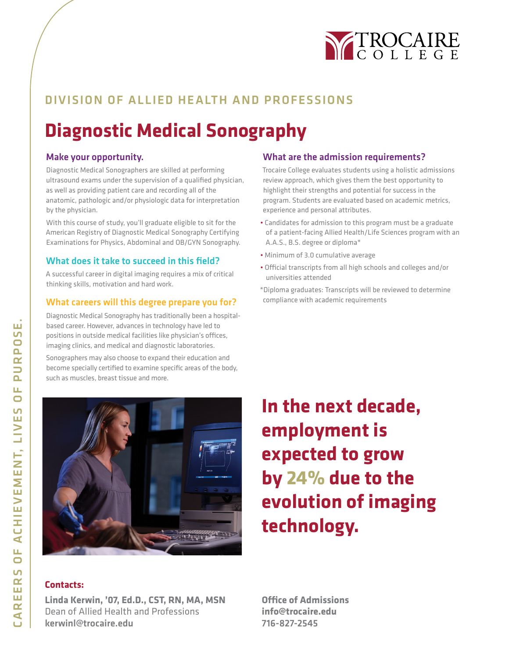

## DIVISION OF ALLIED HE ALTH AND PROFESSIONS

## **Diagnostic Medical Sonography**

#### Make your opportunity.

Diagnostic Medical Sonographers are skilled at performing ultrasound exams under the supervision of a qualified physician, as well as providing patient care and recording all of the anatomic, pathologic and/or physiologic data for interpretation by the physician.

With this course of study, you'll graduate eligible to sit for the American Registry of Diagnostic Medical Sonography Certifying Examinations for Physics, Abdominal and OB/GYN Sonography.

#### What does it take to succeed in this field?

A successful career in digital imaging requires a mix of critical thinking skills, motivation and hard work.

#### What careers will this degree prepare you for?

Diagnostic Medical Sonography has traditionally been a hospitalbased career. However, advances in technology have led to positions in outside medical facilities like physician's offices, imaging clinics, and medical and diagnostic laboratories.

Sonographers may also choose to expand their education and become specially certified to examine specific areas of the body, such as muscles, breast tissue and more.

#### What are the admission requirements?

Trocaire College evaluates students using a holistic admissions review approach, which gives them the best opportunity to highlight their strengths and potential for success in the program. Students are evaluated based on academic metrics, experience and personal attributes.

- Candidates for admission to this program must be a graduate of a patient-facing Allied Health/Life Sciences program with an A.A.S., B.S. degree or diploma\*
- Minimum of 3.0 cumulative average
- Official transcripts from all high schools and colleges and/or universities attended
- \*Diploma graduates: Transcripts will be reviewed to determine compliance with academic requirements



# **In the next decade, employment is expected to grow by 24% due to the evolution of imaging technology.**

#### **Contacts:**

**Linda Kerwin, '07, Ed.D., CST, RN, MA, MSN** Dean of Allied Health and Professions kerwinl@trocaire.edu

**Office of Admissions info@trocaire.edu** 716-827-2545